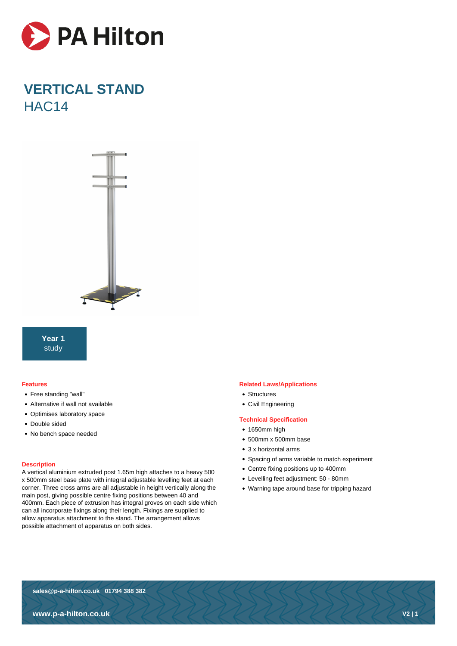

# **VERTICAL STAND** HAC14



**Year 1** study

## **Features**

- Free standing "wall"
- Alternative if wall not available
- Optimises laboratory space
- Double sided
- No bench space needed

#### **Description**

A vertical aluminium extruded post 1.65m high attaches to a heavy 500 x 500mm steel base plate with integral adjustable levelling feet at each corner. Three cross arms are all adjustable in height vertically along the main post, giving possible centre fixing positions between 40 and 400mm. Each piece of extrusion has integral groves on each side which can all incorporate fixings along their length. Fixings are supplied to allow apparatus attachment to the stand. The arrangement allows possible attachment of apparatus on both sides.

## **Related Laws/Applications**

- Structures
- Civil Engineering

## **Technical Specification**

- 1650mm high
- 500mm x 500mm base
- 3 x horizontal arms
- Spacing of arms variable to match experiment
- Centre fixing positions up to 400mm
- Levelling feet adjustment: 50 80mm
- Warning tape around base for tripping hazard